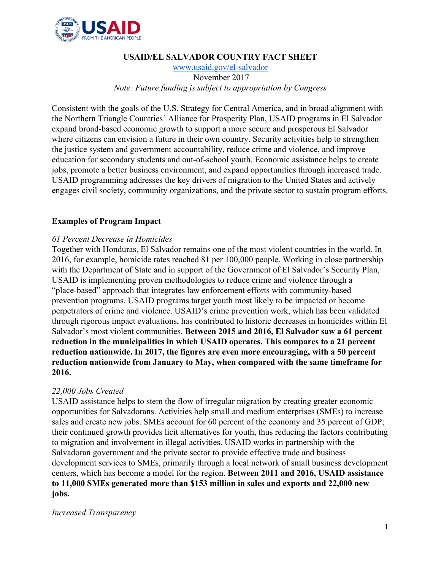

## **USAID/EL SALVADOR COUNTRY FACT SHEET**

[www.usaid.gov/el-salvador](http://www.usaid.gov/el-salvador) November 2017 *Note: Future funding is subject to appropriation by Congress*

Consistent with the goals of the U.S. Strategy for Central America, and in broad alignment with the Northern Triangle Countries' Alliance for Prosperity Plan, USAID programs in El Salvador expand broad-based economic growth to support a more secure and prosperous El Salvador where citizens can envision a future in their own country. Security activities help to strengthen the justice system and government accountability, reduce crime and violence, and improve education for secondary students and out-of-school youth. Economic assistance helps to create jobs, promote a better business environment, and expand opportunities through increased trade. USAID programming addresses the key drivers of migration to the United States and actively engages civil society, community organizations, and the private sector to sustain program efforts.

## **Examples of Program Impact**

## *61 Percent Decrease in Homicides*

Together with Honduras, El Salvador remains one of the most violent countries in the world. In 2016, for example, homicide rates reached 81 per 100,000 people. Working in close partnership with the Department of State and in support of the Government of El Salvador's Security Plan, USAID is implementing proven methodologies to reduce crime and violence through a "place-based" approach that integrates law enforcement efforts with community-based prevention programs. USAID programs target youth most likely to be impacted or become perpetrators of crime and violence. USAID's crime prevention work, which has been validated through rigorous impact evaluations, has contributed to historic decreases in homicides within El Salvador's most violent communities. **Between 2015 and 2016, El Salvador saw a 61 percent reduction in the municipalities in which USAID operates. This compares to a 21 percent reduction nationwide. In 2017, the figures are even more encouraging, with a 50 percent reduction nationwide from January to May, when compared with the same timeframe for 2016.**

## *22,000 Jobs Created*

USAID assistance helps to stem the flow of irregular migration by creating greater economic opportunities for Salvadorans. Activities help small and medium enterprises (SMEs) to increase sales and create new jobs. SMEs account for 60 percent of the economy and 35 percent of GDP; their continued growth provides licit alternatives for youth, thus reducing the factors contributing to migration and involvement in illegal activities. USAID works in partnership with the Salvadoran government and the private sector to provide effective trade and business development services to SMEs, primarily through a local network of small business development centers, which has become a model for the region. **Between 2011 and 2016, USAID assistance to 11,000 SMEs generated more than \$153 million in sales and exports and 22,000 new jobs.**

#### *Increased Transparency*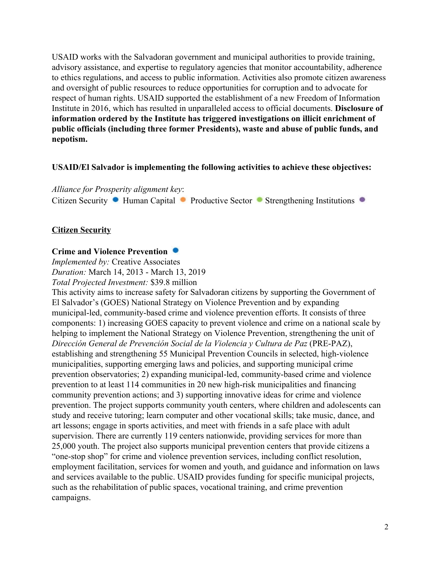USAID works with the Salvadoran government and municipal authorities to provide training, advisory assistance, and expertise to regulatory agencies that monitor accountability, adherence to ethics regulations, and access to public information. Activities also promote citizen awareness and oversight of public resources to reduce opportunities for corruption and to advocate for respect of human rights. USAID supported the establishment of a new Freedom of Information Institute in 2016, which has resulted in unparalleled access to official documents. **Disclosure of information ordered by the Institute has triggered investigations on illicit enrichment of public officials (including three former Presidents), waste and abuse of public funds, and nepotism.**

#### **USAID/El Salvador is implementing the following activities to achieve these objectives:**

*Alliance for Prosperity alignment key*: Citizen Security • Human Capital • Productive Sector • Strengthening Institutions •

## **Citizen Security**

#### **Crime and Violence Prevention**

*Implemented by:* Creative Associates *Duration:* March 14, 2013 - March 13, 2019 *Total Projected Investment:* \$39.8 million

This activity aims to increase safety for Salvadoran citizens by supporting the Government of El Salvador's (GOES) National Strategy on Violence Prevention and by expanding municipal-led, community-based crime and violence prevention efforts. It consists of three components: 1) increasing GOES capacity to prevent violence and crime on a national scale by helping to implement the National Strategy on Violence Prevention, strengthening the unit of *Dirección General de Prevención Social de la Violencia y Cultura de Paz* (PRE-PAZ), establishing and strengthening 55 Municipal Prevention Councils in selected, high-violence municipalities, supporting emerging laws and policies, and supporting municipal crime prevention observatories; 2) expanding municipal-led, community-based crime and violence prevention to at least 114 communities in 20 new high-risk municipalities and financing community prevention actions; and 3) supporting innovative ideas for crime and violence prevention. The project supports community youth centers, where children and adolescents can study and receive tutoring; learn computer and other vocational skills; take music, dance, and art lessons; engage in sports activities, and meet with friends in a safe place with adult supervision. There are currently 119 centers nationwide, providing services for more than 25,000 youth. The project also supports municipal prevention centers that provide citizens a "one-stop shop" for crime and violence prevention services, including conflict resolution, employment facilitation, services for women and youth, and guidance and information on laws and services available to the public. USAID provides funding for specific municipal projects, such as the rehabilitation of public spaces, vocational training, and crime prevention campaigns.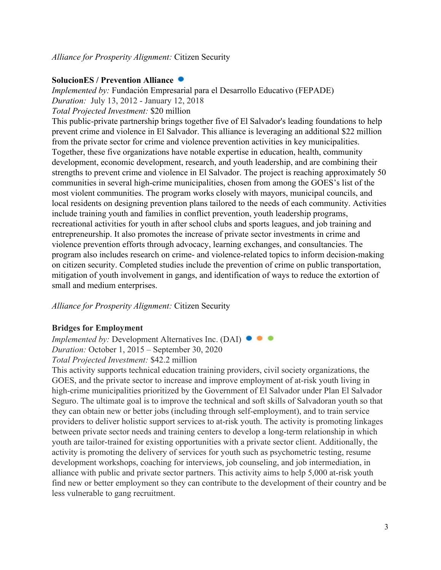## **SolucionES / Prevention Alliance**

*Implemented by:* Fundación Empresarial para el Desarrollo Educativo (FEPADE) *Duration:* July 13, 2012 - January 12, 2018 *Total Projected Investment:* \$20 million

This public-private partnership brings together five of El Salvador's leading foundations to help prevent crime and violence in El Salvador. This alliance is leveraging an additional \$22 million from the private sector for crime and violence prevention activities in key municipalities. Together, these five organizations have notable expertise in education, health, community development, economic development, research, and youth leadership, and are combining their strengths to prevent crime and violence in El Salvador. The project is reaching approximately 50 communities in several high-crime municipalities, chosen from among the GOES's list of the most violent communities. The program works closely with mayors, municipal councils, and local residents on designing prevention plans tailored to the needs of each community. Activities include training youth and families in conflict prevention, youth leadership programs, recreational activities for youth in after school clubs and sports leagues, and job training and entrepreneurship. It also promotes the increase of private sector investments in crime and violence prevention efforts through advocacy, learning exchanges, and consultancies. The program also includes research on crime- and violence-related topics to inform decision-making on citizen security. Completed studies include the prevention of crime on public transportation, mitigation of youth involvement in gangs, and identification of ways to reduce the extortion of small and medium enterprises.

*Alliance for Prosperity Alignment:* Citizen Security

## **Bridges for Employment**

*Implemented by:* Development Alternatives Inc. (DAI)  $\bullet$   $\bullet$ *Duration:* October 1, 2015 – September 30, 2020 *Total Projected Investment:* \$42.2 million

This activity supports technical education training providers, civil society organizations, the GOES, and the private sector to increase and improve employment of at-risk youth living in high-crime municipalities prioritized by the Government of El Salvador under Plan El Salvador Seguro. The ultimate goal is to improve the technical and soft skills of Salvadoran youth so that they can obtain new or better jobs (including through self-employment), and to train service providers to deliver holistic support services to at-risk youth. The activity is promoting linkages between private sector needs and training centers to develop a long-term relationship in which youth are tailor-trained for existing opportunities with a private sector client. Additionally, the activity is promoting the delivery of services for youth such as psychometric testing, resume development workshops, coaching for interviews, job counseling, and job intermediation, in alliance with public and private sector partners. This activity aims to help 5,000 at-risk youth find new or better employment so they can contribute to the development of their country and be less vulnerable to gang recruitment.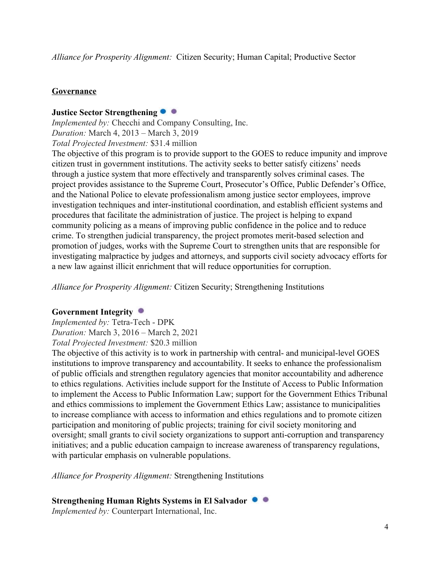*Alliance for Prosperity Alignment:* Citizen Security; Human Capital; Productive Sector

## **Governance**

## **Justice Sector Strengthening**

*Implemented by:* Checchi and Company Consulting, Inc. *Duration:* March 4, 2013 – March 3, 2019 *Total Projected Investment:* \$31.4 million

The objective of this program is to provide support to the GOES to reduce impunity and improve citizen trust in government institutions. The activity seeks to better satisfy citizens' needs through a justice system that more effectively and transparently solves criminal cases. The project provides assistance to the Supreme Court, Prosecutor's Office, Public Defender's Office, and the National Police to elevate professionalism among justice sector employees, improve investigation techniques and inter-institutional coordination, and establish efficient systems and procedures that facilitate the administration of justice. The project is helping to expand community policing as a means of improving public confidence in the police and to reduce crime. To strengthen judicial transparency, the project promotes merit-based selection and promotion of judges, works with the Supreme Court to strengthen units that are responsible for investigating malpractice by judges and attorneys, and supports civil society advocacy efforts for a new law against illicit enrichment that will reduce opportunities for corruption.

*Alliance for Prosperity Alignment:* Citizen Security; Strengthening Institutions

#### **Government Integrity**

*Implemented by:* Tetra-Tech - DPK *Duration:* March 3, 2016 – March 2, 2021 *Total Projected Investment:* \$20.3 million

The objective of this activity is to work in partnership with central- and municipal-level GOES institutions to improve transparency and accountability. It seeks to enhance the professionalism of public officials and strengthen regulatory agencies that monitor accountability and adherence to ethics regulations. Activities include support for the Institute of Access to Public Information to implement the Access to Public Information Law; support for the Government Ethics Tribunal and ethics commissions to implement the Government Ethics Law; assistance to municipalities to increase compliance with access to information and ethics regulations and to promote citizen participation and monitoring of public projects; training for civil society monitoring and oversight; small grants to civil society organizations to support anti-corruption and transparency initiatives; and a public education campaign to increase awareness of transparency regulations, with particular emphasis on vulnerable populations.

*Alliance for Prosperity Alignment:* Strengthening Institutions

**Strengthening Human Rights Systems in El Salvador**

*Implemented by:* Counterpart International, Inc.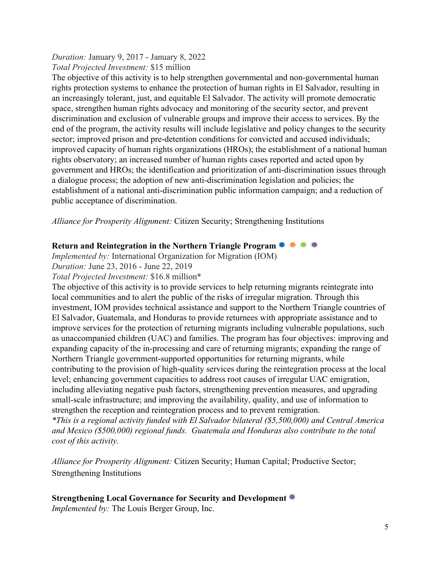#### *Duration:* January 9, 2017 - January 8, 2022 *Total Projected Investment:* \$15 million

The objective of this activity is to help strengthen governmental and non-governmental human rights protection systems to enhance the protection of human rights in El Salvador, resulting in an increasingly tolerant, just, and equitable El Salvador. The activity will promote democratic space, strengthen human rights advocacy and monitoring of the security sector, and prevent discrimination and exclusion of vulnerable groups and improve their access to services. By the end of the program, the activity results will include legislative and policy changes to the security sector; improved prison and pre-detention conditions for convicted and accused individuals; improved capacity of human rights organizations (HROs); the establishment of a national human rights observatory; an increased number of human rights cases reported and acted upon by government and HROs; the identification and prioritization of anti-discrimination issues through a dialogue process; the adoption of new anti-discrimination legislation and policies; the establishment of a national anti-discrimination public information campaign; and a reduction of public acceptance of discrimination.

*Alliance for Prosperity Alignment:* Citizen Security; Strengthening Institutions

## **Return and Reintegration in the Northern Triangle Program**

*Implemented by:* International Organization for Migration (IOM)

*Duration:* June 23, 2016 - June 22, 2019

*Total Projected Investment:* \$16.8 million\*

The objective of this activity is to provide services to help returning migrants reintegrate into local communities and to alert the public of the risks of irregular migration. Through this investment, IOM provides technical assistance and support to the Northern Triangle countries of El Salvador, Guatemala, and Honduras to provide returnees with appropriate assistance and to improve services for the protection of returning migrants including vulnerable populations, such as unaccompanied children (UAC) and families. The program has four objectives: improving and expanding capacity of the in-processing and care of returning migrants; expanding the range of Northern Triangle government-supported opportunities for returning migrants, while contributing to the provision of high-quality services during the reintegration process at the local level; enhancing government capacities to address root causes of irregular UAC emigration, including alleviating negative push factors, strengthening prevention measures, and upgrading small-scale infrastructure; and improving the availability, quality, and use of information to strengthen the reception and reintegration process and to prevent remigration.

*\*This is a regional activity funded with El Salvador bilateral (\$5,500,000) and Central America and Mexico (\$500,000) regional funds. Guatemala and Honduras also contribute to the total cost of this activity.*

*Alliance for Prosperity Alignment:* Citizen Security; Human Capital; Productive Sector; Strengthening Institutions

## **Strengthening Local Governance for Security and Development**

*Implemented by:* The Louis Berger Group, Inc.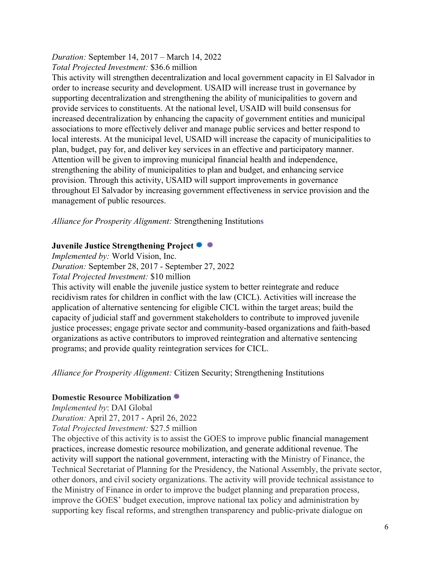*Duration:* September 14, 2017 – March 14, 2022 *Total Projected Investment:* \$36.6 million

This activity will strengthen decentralization and local government capacity in El Salvador in order to increase security and development. USAID will increase trust in governance by supporting decentralization and strengthening the ability of municipalities to govern and provide services to constituents. At the national level, USAID will build consensus for increased decentralization by enhancing the capacity of government entities and municipal associations to more effectively deliver and manage public services and better respond to local interests. At the municipal level, USAID will increase the capacity of municipalities to plan, budget, pay for, and deliver key services in an effective and participatory manner. Attention will be given to improving municipal financial health and independence, strengthening the ability of municipalities to plan and budget, and enhancing service provision. Through this activity, USAID will support improvements in governance throughout El Salvador by increasing government effectiveness in service provision and the management of public resources.

*Alliance for Prosperity Alignment:* Strengthening Institution**s**

## **Juvenile Justice Strengthening Project**

*Implemented by:* World Vision, Inc.

*Duration:* September 28, 2017 - September 27, 2022

*Total Projected Investment:* \$10 million

This activity will enable the juvenile justice system to better reintegrate and reduce recidivism rates for children in conflict with the law (CICL). Activities will increase the application of alternative sentencing for eligible CICL within the target areas; build the capacity of judicial staff and government stakeholders to contribute to improved juvenile justice processes; engage private sector and community-based organizations and faith-based organizations as active contributors to improved reintegration and alternative sentencing programs; and provide quality reintegration services for CICL.

*Alliance for Prosperity Alignment:* Citizen Security; Strengthening Institutions

#### **Domestic Resource Mobilization**

*Implemented by*: DAI Global *Duration:* April 27, 2017 - April 26, 2022 *Total Projected Investment:* \$27.5 million

The objective of this activity is to assist the GOES to improve public financial management practices, increase domestic resource mobilization, and generate additional revenue. The activity will support the national government, interacting with the Ministry of Finance, the Technical Secretariat of Planning for the Presidency, the National Assembly, the private sector, other donors, and civil society organizations. The activity will provide technical assistance to the Ministry of Finance in order to improve the budget planning and preparation process, improve the GOES' budget execution, improve national tax policy and administration by supporting key fiscal reforms, and strengthen transparency and public-private dialogue on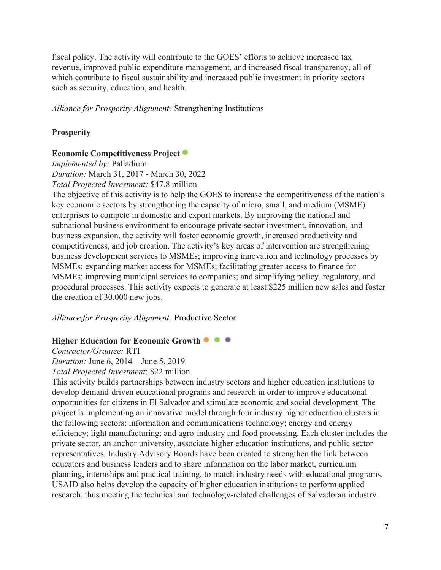fiscal policy. The activity will contribute to the GOES' efforts to achieve increased tax revenue, improved public expenditure management, and increased fiscal transparency, all of which contribute to fiscal sustainability and increased public investment in priority sectors such as security, education, and health.

#### *Alliance for Prosperity Alignment:* Strengthening Institutions

#### **Prosperity**

#### **Economic Competitiveness Project**

*Implemented by:* Palladium

*Duration:* March 31, 2017 - March 30, 2022 *Total Projected Investment:* \$47.8 million

The objective of this activity is to help the GOES to increase the competitiveness of the nation's key economic sectors by strengthening the capacity of micro, small, and medium (MSME) enterprises to compete in domestic and export markets. By improving the national and subnational business environment to encourage private sector investment, innovation, and business expansion, the activity will foster economic growth, increased productivity and competitiveness, and job creation. The activity's key areas of intervention are strengthening business development services to MSMEs; improving innovation and technology processes by MSMEs; expanding market access for MSMEs; facilitating greater access to finance for MSMEs; improving municipal services to companies; and simplifying policy, regulatory, and procedural processes. This activity expects to generate at least \$225 million new sales and foster the creation of 30,000 new jobs.

*Alliance for Prosperity Alignment:* Productive Sector

#### **Higher Education for Economic Growth**

*Contractor/Grantee:* RTI *Duration:* June 6, 2014 – June 5, 2019

*Total Projected Investment*: \$22 million

This activity builds partnerships between industry sectors and higher education institutions to develop demand-driven educational programs and research in order to improve educational opportunities for citizens in El Salvador and stimulate economic and social development. The project is implementing an innovative model through four industry higher education clusters in the following sectors: information and communications technology; energy and energy efficiency; light manufacturing; and agro-industry and food processing. Each cluster includes the private sector, an anchor university, associate higher education institutions, and public sector representatives. Industry Advisory Boards have been created to strengthen the link between educators and business leaders and to share information on the labor market, curriculum planning, internships and practical training, to match industry needs with educational programs. USAID also helps develop the capacity of higher education institutions to perform applied research, thus meeting the technical and technology-related challenges of Salvadoran industry.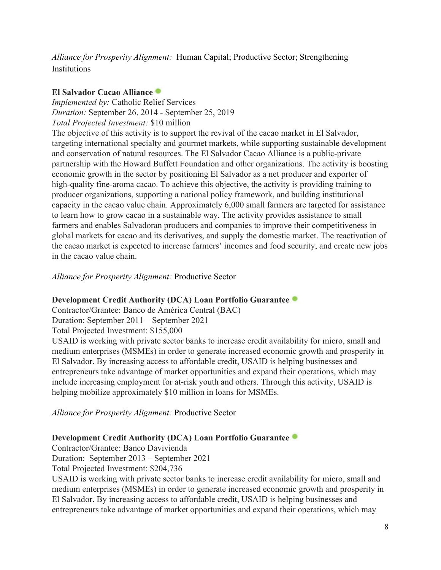*Alliance for Prosperity Alignment:* Human Capital; Productive Sector; Strengthening **Institutions** 

## **El Salvador Cacao Alliance**

*Implemented by:* Catholic Relief Services *Duration:* September 26, 2014 - September 25, 2019 *Total Projected Investment:* \$10 million

The objective of this activity is to support the revival of the cacao market in El Salvador, targeting international specialty and gourmet markets, while supporting sustainable development and conservation of natural resources. The El Salvador Cacao Alliance is a public-private partnership with the Howard Buffett Foundation and other organizations. The activity is boosting economic growth in the sector by positioning El Salvador as a net producer and exporter of high-quality fine-aroma cacao. To achieve this objective, the activity is providing training to producer organizations, supporting a national policy framework, and building institutional capacity in the cacao value chain. Approximately 6,000 small farmers are targeted for assistance to learn how to grow cacao in a sustainable way. The activity provides assistance to small farmers and enables Salvadoran producers and companies to improve their competitiveness in global markets for cacao and its derivatives, and supply the domestic market. The reactivation of the cacao market is expected to increase farmers' incomes and food security, and create new jobs in the cacao value chain.

*Alliance for Prosperity Alignment:* Productive Sector

## **Development Credit Authority (DCA) Loan Portfolio Guarantee**

Contractor/Grantee: Banco de América Central (BAC)

Duration: September 2011 – September 2021

Total Projected Investment: \$155,000

USAID is working with private sector banks to increase credit availability for micro, small and medium enterprises (MSMEs) in order to generate increased economic growth and prosperity in El Salvador. By increasing access to affordable credit, USAID is helping businesses and entrepreneurs take advantage of market opportunities and expand their operations, which may include increasing employment for at-risk youth and others. Through this activity, USAID is helping mobilize approximately \$10 million in loans for MSMEs.

*Alliance for Prosperity Alignment:* Productive Sector

## **Development Credit Authority (DCA) Loan Portfolio Guarantee**

Contractor/Grantee: Banco Davivienda

Duration: September 2013 – September 2021

Total Projected Investment: \$204,736

USAID is working with private sector banks to increase credit availability for micro, small and medium enterprises (MSMEs) in order to generate increased economic growth and prosperity in El Salvador. By increasing access to affordable credit, USAID is helping businesses and entrepreneurs take advantage of market opportunities and expand their operations, which may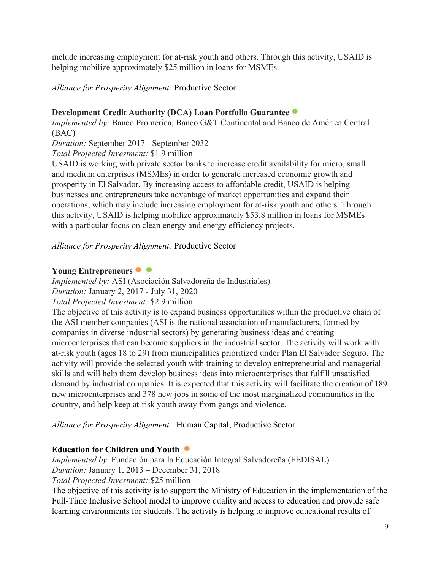include increasing employment for at-risk youth and others. Through this activity, USAID is helping mobilize approximately \$25 million in loans for MSMEs.

*Alliance for Prosperity Alignment:* Productive Sector

# **Development Credit Authority (DCA) Loan Portfolio Guarantee**

*Implemented by:* Banco Promerica, Banco G&T Continental and Banco de América Central (BAC)

*Duration:* September 2017 - September 2032

*Total Projected Investment:* \$1.9 million

USAID is working with private sector banks to increase credit availability for micro, small and medium enterprises (MSMEs) in order to generate increased economic growth and prosperity in El Salvador. By increasing access to affordable credit, USAID is helping businesses and entrepreneurs take advantage of market opportunities and expand their operations, which may include increasing employment for at-risk youth and others. Through this activity, USAID is helping mobilize approximately \$53.8 million in loans for MSMEs with a particular focus on clean energy and energy efficiency projects.

*Alliance for Prosperity Alignment:* Productive Sector

# **Young Entrepreneurs**

*Implemented by:* ASI (Asociación Salvadoreña de Industriales) *Duration:* January 2, 2017 - July 31, 2020

*Total Projected Investment:* \$2.9 million

The objective of this activity is to expand business opportunities within the productive chain of the ASI member companies (ASI is the national association of manufacturers, formed by companies in diverse industrial sectors) by generating business ideas and creating microenterprises that can become suppliers in the industrial sector. The activity will work with at-risk youth (ages 18 to 29) from municipalities prioritized under Plan El Salvador Seguro. The activity will provide the selected youth with training to develop entrepreneurial and managerial skills and will help them develop business ideas into microenterprises that fulfill unsatisfied demand by industrial companies. It is expected that this activity will facilitate the creation of 189 new microenterprises and 378 new jobs in some of the most marginalized communities in the country, and help keep at-risk youth away from gangs and violence.

*Alliance for Prosperity Alignment:* Human Capital; Productive Sector

# **Education for Children and Youth**

*Implemented by*: Fundación para la Educación Integral Salvadoreña (FEDISAL) *Duration:* January 1, 2013 – December 31, 2018 *Total Projected Investment:* \$25 million

The objective of this activity is to support the Ministry of Education in the implementation of the Full-Time Inclusive School model to improve quality and access to education and provide safe learning environments for students. The activity is helping to improve educational results of